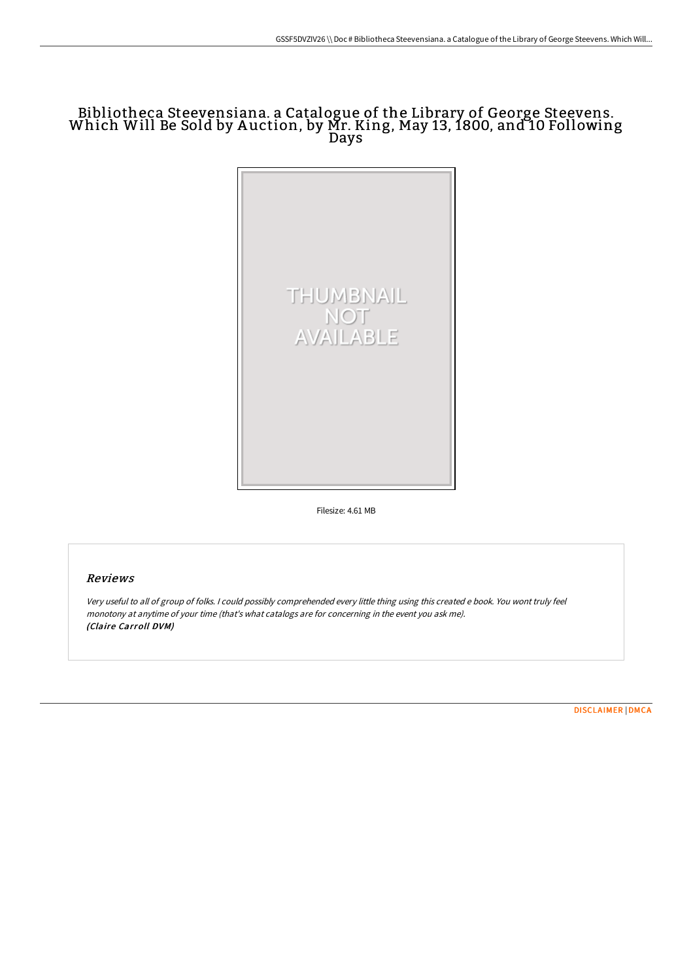# Bibliotheca Steevensiana. <sup>a</sup> Catalogue of the Library of George Steevens. Which Will Be Sold by <sup>A</sup> uction, by Mr. King, May 13, 1800, and <sup>10</sup> Following Days



Filesize: 4.61 MB

## Reviews

Very useful to all of group of folks. <sup>I</sup> could possibly comprehended every little thing using this created <sup>e</sup> book. You wont truly feel monotony at anytime of your time (that's what catalogs are for concerning in the event you ask me). (Claire Carroll DVM)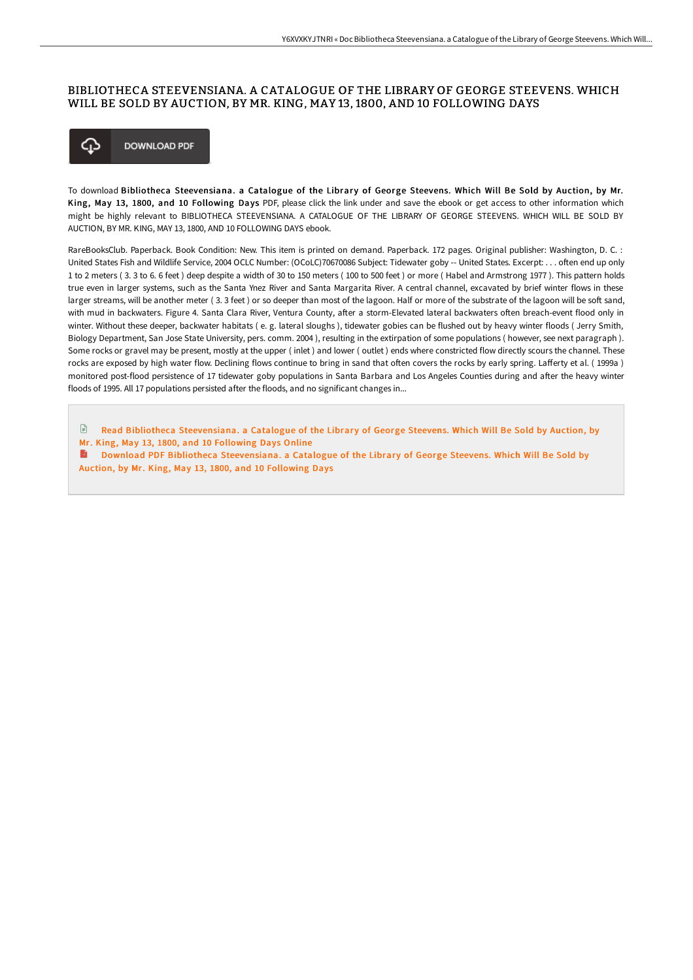### BIBLIOTHECA STEEVENSIANA. A CATALOGUE OF THE LIBRARY OF GEORGE STEEVENS. WHICH WILL BE SOLD BY AUCTION, BY MR. KING, MAY 13, 1800, AND 10 FOLLOWING DAYS



To download Bibliotheca Steevensiana. a Catalogue of the Library of George Steevens. Which Will Be Sold by Auction, by Mr. King, May 13, 1800, and 10 Following Days PDF, please click the link under and save the ebook or get access to other information which might be highly relevant to BIBLIOTHECA STEEVENSIANA. A CATALOGUE OF THE LIBRARY OF GEORGE STEEVENS. WHICH WILL BE SOLD BY AUCTION, BY MR. KING, MAY 13, 1800, AND 10 FOLLOWING DAYS ebook.

RareBooksClub. Paperback. Book Condition: New. This item is printed on demand. Paperback. 172 pages. Original publisher: Washington, D. C. : United States Fish and Wildlife Service, 2004 OCLC Number: (OCoLC)70670086 Subject: Tidewater goby -- United States. Excerpt: . . . often end up only 1 to 2 meters ( 3. 3 to 6. 6 feet ) deep despite a width of 30 to 150 meters ( 100 to 500 feet ) or more ( Habel and Armstrong 1977 ). This pattern holds true even in larger systems, such as the Santa Ynez River and Santa Margarita River. A central channel, excavated by brief winter flows in these larger streams, will be another meter (3.3 feet) or so deeper than most of the lagoon. Half or more of the substrate of the lagoon will be soft sand, with mud in backwaters. Figure 4. Santa Clara River, Ventura County, after a storm-Elevated lateral backwaters often breach-event flood only in winter. Without these deeper, backwater habitats ( e. g. lateral sloughs ), tidewater gobies can be flushed out by heavy winter floods ( Jerry Smith, Biology Department, San Jose State University, pers. comm. 2004 ), resulting in the extirpation of some populations ( however, see next paragraph ). Some rocks or gravel may be present, mostly at the upper ( inlet ) and lower ( outlet ) ends where constricted flow directly scours the channel. These rocks are exposed by high water flow. Declining flows continue to bring in sand that often covers the rocks by early spring. Lafferty et al. (1999a) monitored post-flood persistence of 17 tidewater goby populations in Santa Barbara and Los Angeles Counties during and after the heavy winter floods of 1995. All 17 populations persisted after the floods, and no significant changes in...

 $\mathbb{R}$ Read Bibliotheca [Steevensiana.](http://digilib.live/bibliotheca-steevensiana-a-catalogue-of-the-libr.html) a Catalogue of the Library of George Steevens. Which Will Be Sold by Auction, by Mr. King, May 13, 1800, and 10 Following Days Online

Download PDF Bibliotheca [Steevensiana.](http://digilib.live/bibliotheca-steevensiana-a-catalogue-of-the-libr.html) a Catalogue of the Library of George Steevens. Which Will Be Sold by Auction, by Mr. King, May 13, 1800, and 10 Following Days